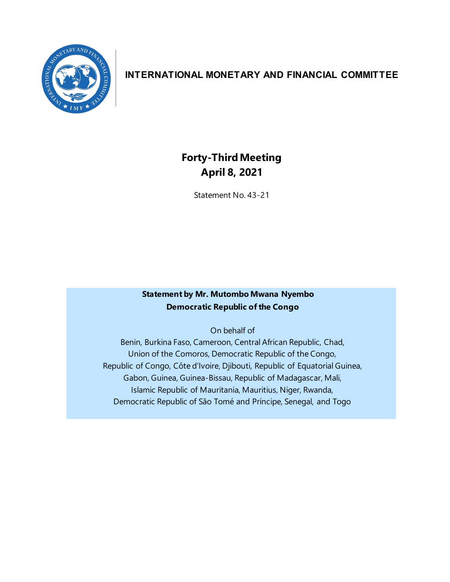

## **INTERNATIONAL MONETARY AND FINANCIAL COMMITTEE**

# **Forty-Third Meeting April 8, 2021**

Statement No. 43-21

### **Statement by Mr. Mutombo Mwana Nyembo Democratic Republic of the Congo**

On behalf of

Benin, Burkina Faso, Cameroon, Central African Republic, Chad, Union of the Comoros, Democratic Republic of the Congo, Republic of Congo, Côte d'Ivoire, Djibouti, Republic of Equatorial Guinea, Gabon, Guinea, Guinea-Bissau, Republic of Madagascar, Mali, Islamic Republic of Mauritania, Mauritius, Niger, Rwanda, Democratic Republic of São Tomé and Príncipe, Senegal, and Togo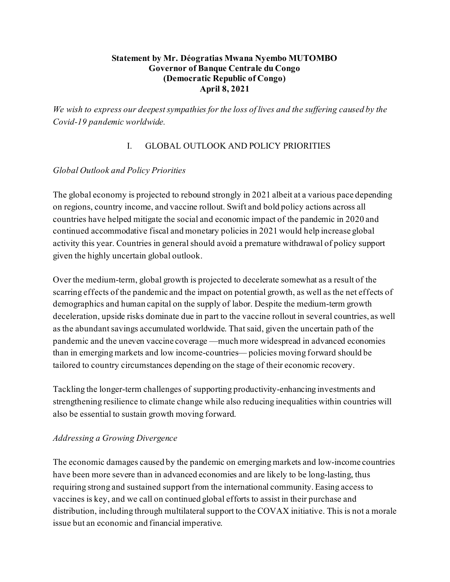#### **Statement by Mr. Déogratias Mwana Nyembo MUTOMBO Governor of Banque Centrale du Congo (Democratic Republic of Congo) April 8, 2021**

*We wish to express our deepest sympathies for the loss of lives and the suffering caused by the Covid-19 pandemic worldwide.*

#### I. GLOBAL OUTLOOK AND POLICY PRIORITIES

#### *Global Outlook and Policy Priorities*

The global economy is projected to rebound strongly in 2021 albeit at a various pace depending on regions, country income, and vaccine rollout. Swift and bold policy actions across all countries have helped mitigate the social and economic impact of the pandemic in 2020 and continued accommodative fiscal and monetary policies in 2021 would help increase global activity this year. Countries in general should avoid a premature withdrawal of policy support given the highly uncertain global outlook.

Over the medium-term, global growth is projected to decelerate somewhat as a result of the scarring effects of the pandemic and the impact on potential growth, as well as the net effects of demographics and human capital on the supply of labor. Despite the medium-term growth deceleration, upside risks dominate due in part to the vaccine rollout in several countries, as well as the abundant savings accumulated worldwide. That said, given the uncertain path of the pandemic and the uneven vaccine coverage —much more widespread in advanced economies than in emerging markets and low income-countries— policies moving forward should be tailored to country circumstances depending on the stage of their economic recovery.

Tackling the longer-term challenges of supporting productivity-enhancing investments and strengthening resilience to climate change while also reducing inequalities within countries will also be essential to sustain growth moving forward.

#### *Addressing a Growing Divergence*

The economic damages caused by the pandemic on emerging markets and low-income countries have been more severe than in advanced economies and are likely to be long-lasting, thus requiring strong and sustained support from the international community. Easing access to vaccines is key, and we call on continued global efforts to assist in their purchase and distribution, including through multilateral support to the COVAX initiative. This is not a morale issue but an economic and financial imperative.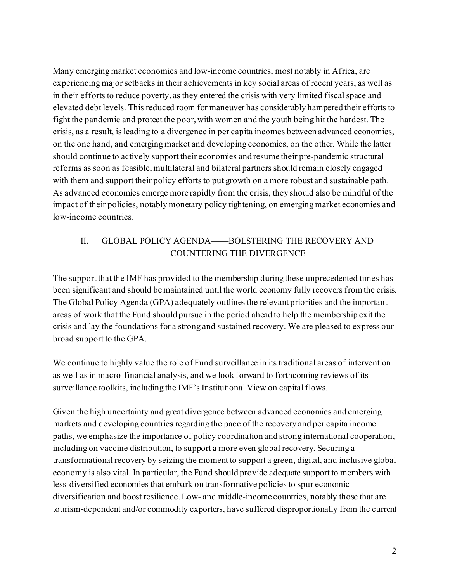Many emerging market economies and low-income countries, most notably in Africa, are experiencing major setbacks in their achievements in key social areas of recent years, as well as in their efforts to reduce poverty, as they entered the crisis with very limited fiscal space and elevated debt levels. This reduced room for maneuver has considerably hampered their efforts to fight the pandemic and protect the poor, with women and the youth being hit the hardest. The crisis, as a result, is leading to a divergence in per capita incomes between advanced economies, on the one hand, and emerging market and developing economies, on the other. While the latter should continue to actively support their economies and resume their pre-pandemic structural reforms as soon as feasible, multilateral and bilateral partners should remain closely engaged with them and support their policy efforts to put growth on a more robust and sustainable path. As advanced economies emerge more rapidly from the crisis, they should also be mindful of the impact of their policies, notably monetary policy tightening, on emerging market economies and low-income countries.

### II. GLOBAL POLICY AGENDA——BOLSTERING THE RECOVERY AND COUNTERING THE DIVERGENCE

The support that the IMF has provided to the membership during these unprecedented times has been significant and should be maintained until the world economy fully recovers from the crisis. The Global Policy Agenda (GPA) adequately outlines the relevant priorities and the important areas of work that the Fund should pursue in the period ahead to help the membership exit the crisis and lay the foundations for a strong and sustained recovery. We are pleased to express our broad support to the GPA.

We continue to highly value the role of Fund surveillance in its traditional areas of intervention as well as in macro-financial analysis, and we look forward to forthcoming reviews of its surveillance toolkits, including the IMF's Institutional View on capital flows.

Given the high uncertainty and great divergence between advanced economies and emerging markets and developing countries regarding the pace of the recovery and per capita income paths, we emphasize the importance of policy coordination and strong international cooperation, including on vaccine distribution, to support a more even global recovery. Securing a transformational recovery by seizing the moment to support a green, digital, and inclusive global economy is also vital. In particular, the Fund should provide adequate support to members with less-diversified economies that embark on transformative policies to spur economic diversification and boost resilience. Low- and middle-income countries, notably those that are tourism-dependent and/or commodity exporters, have suffered disproportionally from the current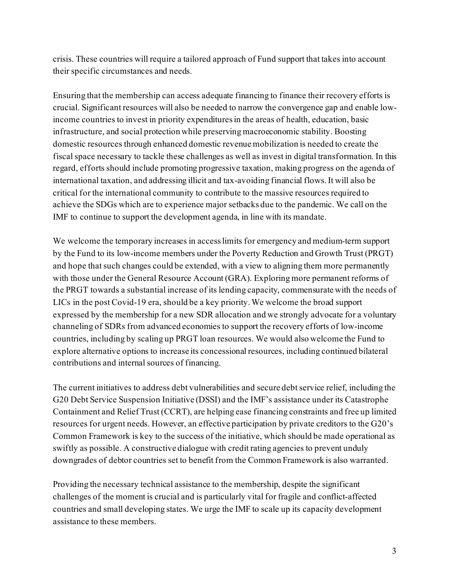crisis. These countries will require a tailored approach of Fund support that takes into account their specific circumstances and needs.

Ensuring that the membership can access adequate financing to finance their recovery efforts is crucial. Significant resources will also be needed to narrow the convergence gap and enable lowincome countries to invest in priority expenditures in the areas of health, education, basic infrastructure, and social protection while preserving macroeconomic stability. Boosting domestic resources through enhanced domestic revenue mobilization is needed to create the fiscal space necessary to tackle these challenges as well as invest in digital transformation. In this regard, efforts should include promoting progressive taxation, making progress on the agenda of international taxation, and addressing illicit and tax-avoiding financial flows. It will also be critical for the international community to contribute to the massive resources required to achieve the SDGs which are to experience major setbacks due to the pandemic. We call on the IMF to continue to support the development agenda, in line with its mandate.

We welcome the temporary increases in access limits for emergency and medium-term support by the Fund to its low-income members under the Poverty Reduction and Growth Trust (PRGT) and hope that such changes could be extended, with a view to aligning them more permanently with those under the General Resource Account (GRA). Exploring more permanent reforms of the PRGT towards a substantial increase of its lending capacity, commensurate with the needs of LICs in the post Covid-19 era, should be a key priority. We welcome the broad support expressed by the membership for a new SDR allocation and we strongly advocate for a voluntary channeling of SDRs from advanced economies to support the recovery efforts of low-income countries, including by scaling up PRGT loan resources. We would also welcome the Fund to explore alternative options to increase its concessional resources, including continued bilateral contributions and internal sources of financing.

The current initiatives to address debt vulnerabilities and secure debt service relief, including the G20 Debt Service Suspension Initiative (DSSI) and the IMF's assistance under its Catastrophe Containment and Relief Trust (CCRT), are helping ease financing constraints and free up limited resources for urgent needs. However, an effective participation by private creditors to the G20's Common Framework is key to the success of the initiative, which should be made operational as swiftly as possible. A constructive dialogue with credit rating agencies to prevent unduly downgrades of debtor countries set to benefit from the Common Framework is also warranted.

Providing the necessary technical assistance to the membership, despite the significant challenges of the moment is crucial and is particularly vital for fragile and conflict-affected countries and small developing states. We urge the IMF to scale up its capacity development assistance to these members.